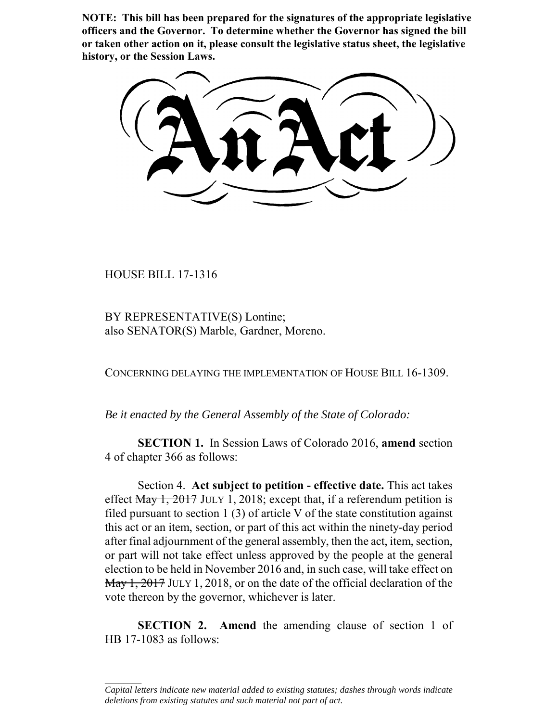**NOTE: This bill has been prepared for the signatures of the appropriate legislative officers and the Governor. To determine whether the Governor has signed the bill or taken other action on it, please consult the legislative status sheet, the legislative history, or the Session Laws.**

HOUSE BILL 17-1316

 $\frac{1}{2}$ 

BY REPRESENTATIVE(S) Lontine; also SENATOR(S) Marble, Gardner, Moreno.

CONCERNING DELAYING THE IMPLEMENTATION OF HOUSE BILL 16-1309.

*Be it enacted by the General Assembly of the State of Colorado:*

**SECTION 1.** In Session Laws of Colorado 2016, **amend** section 4 of chapter 366 as follows:

Section 4. **Act subject to petition - effective date.** This act takes effect  $\frac{May + 2017}{1}$  JULY 1, 2018; except that, if a referendum petition is filed pursuant to section  $1(3)$  of article V of the state constitution against this act or an item, section, or part of this act within the ninety-day period after final adjournment of the general assembly, then the act, item, section, or part will not take effect unless approved by the people at the general election to be held in November 2016 and, in such case, will take effect on May 1, 2017 JULY 1, 2018, or on the date of the official declaration of the vote thereon by the governor, whichever is later.

**SECTION 2.** Amend the amending clause of section 1 of HB 17-1083 as follows:

*Capital letters indicate new material added to existing statutes; dashes through words indicate deletions from existing statutes and such material not part of act.*